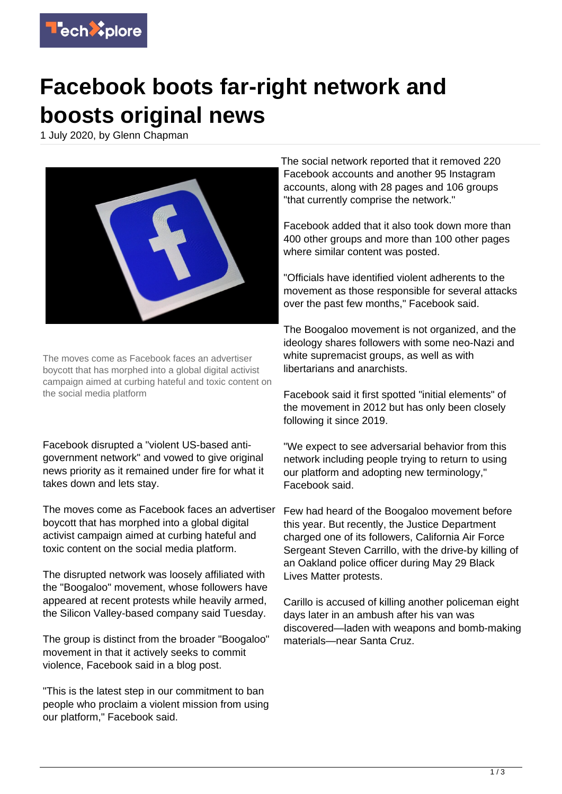

## **Facebook boots far-right network and boosts original news**

1 July 2020, by Glenn Chapman



The moves come as Facebook faces an advertiser boycott that has morphed into a global digital activist campaign aimed at curbing hateful and toxic content on the social media platform

Facebook disrupted a "violent US-based antigovernment network" and vowed to give original news priority as it remained under fire for what it takes down and lets stay.

The moves come as Facebook faces an advertiser boycott that has morphed into a global digital activist campaign aimed at curbing hateful and toxic content on the social media platform.

The disrupted network was loosely affiliated with the "Boogaloo" movement, whose followers have appeared at recent protests while heavily armed, the Silicon Valley-based company said Tuesday.

The group is distinct from the broader "Boogaloo" movement in that it actively seeks to commit violence, Facebook said in a blog post.

"This is the latest step in our commitment to ban people who proclaim a violent mission from using our platform," Facebook said.

The social network reported that it removed 220 Facebook accounts and another 95 Instagram accounts, along with 28 pages and 106 groups "that currently comprise the network."

Facebook added that it also took down more than 400 other groups and more than 100 other pages where similar content was posted.

"Officials have identified violent adherents to the movement as those responsible for several attacks over the past few months," Facebook said.

The Boogaloo movement is not organized, and the ideology shares followers with some neo-Nazi and white supremacist groups, as well as with libertarians and anarchists.

Facebook said it first spotted "initial elements" of the movement in 2012 but has only been closely following it since 2019.

"We expect to see adversarial behavior from this network including people trying to return to using our platform and adopting new terminology," Facebook said.

Few had heard of the Boogaloo movement before this year. But recently, the Justice Department charged one of its followers, California Air Force Sergeant Steven Carrillo, with the drive-by killing of an Oakland police officer during May 29 Black Lives Matter protests.

Carillo is accused of killing another policeman eight days later in an ambush after his van was discovered—laden with weapons and bomb-making materials—near Santa Cruz.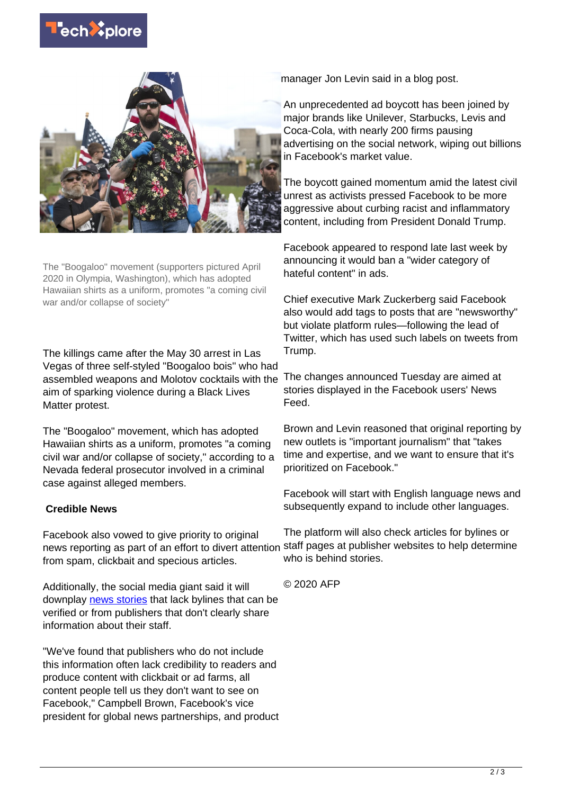



The "Boogaloo" movement (supporters pictured April 2020 in Olympia, Washington), which has adopted Hawaiian shirts as a uniform, promotes "a coming civil war and/or collapse of society"

The killings came after the May 30 arrest in Las Vegas of three self-styled "Boogaloo bois" who had assembled weapons and Molotov cocktails with the aim of sparking violence during a Black Lives Matter protest.

The "Boogaloo" movement, which has adopted Hawaiian shirts as a uniform, promotes "a coming civil war and/or collapse of society," according to a Nevada federal prosecutor involved in a criminal case against alleged members.

## **Credible News**

Facebook also vowed to give priority to original news reporting as part of an effort to divert attention from spam, clickbait and specious articles.

Additionally, the social media giant said it will downplay [news stories](https://techxplore.com/tags/news+stories/) that lack bylines that can be verified or from publishers that don't clearly share information about their staff.

"We've found that publishers who do not include this information often lack credibility to readers and produce content with clickbait or ad farms, all content people tell us they don't want to see on Facebook," Campbell Brown, Facebook's vice president for global news partnerships, and product

manager Jon Levin said in a blog post.

An unprecedented ad boycott has been joined by major brands like Unilever, Starbucks, Levis and Coca-Cola, with nearly 200 firms pausing advertising on the social network, wiping out billions in Facebook's market value.

The boycott gained momentum amid the latest civil unrest as activists pressed Facebook to be more aggressive about curbing racist and inflammatory content, including from President Donald Trump.

Facebook appeared to respond late last week by announcing it would ban a "wider category of hateful content" in ads.

Chief executive Mark Zuckerberg said Facebook also would add tags to posts that are "newsworthy" but violate platform rules—following the lead of Twitter, which has used such labels on tweets from Trump.

The changes announced Tuesday are aimed at stories displayed in the Facebook users' News Feed.

Brown and Levin reasoned that original reporting by new outlets is "important journalism" that "takes time and expertise, and we want to ensure that it's prioritized on Facebook."

Facebook will start with English language news and subsequently expand to include other languages.

The platform will also check articles for bylines or staff pages at publisher websites to help determine who is behind stories.

© 2020 AFP